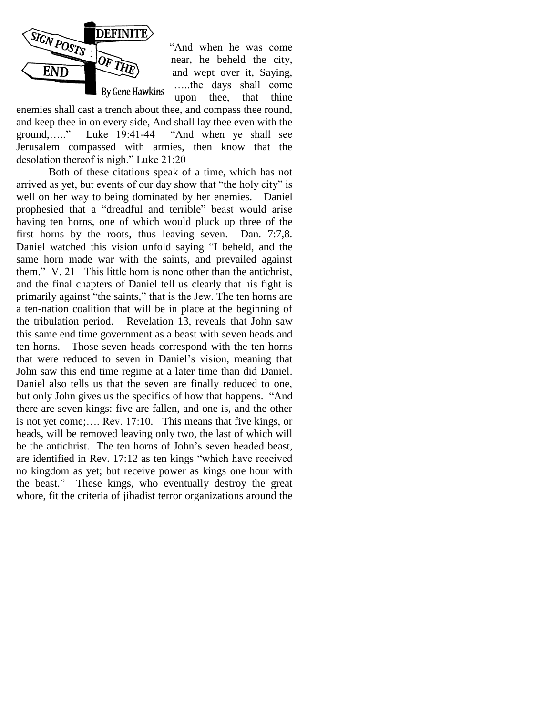

"And when he was come near, he beheld the city, and wept over it, Saying, …..the days shall come upon thee, that thine

enemies shall cast a trench about thee, and compass thee round, and keep thee in on every side, And shall lay thee even with the ground,….." Luke 19:41-44 "And when ye shall see Jerusalem compassed with armies, then know that the desolation thereof is nigh." Luke 21:20

Both of these citations speak of a time, which has not arrived as yet, but events of our day show that "the holy city" is well on her way to being dominated by her enemies. Daniel prophesied that a "dreadful and terrible" beast would arise having ten horns, one of which would pluck up three of the first horns by the roots, thus leaving seven. Dan. 7:7,8. Daniel watched this vision unfold saying "I beheld, and the same horn made war with the saints, and prevailed against them." V. 21 This little horn is none other than the antichrist, and the final chapters of Daniel tell us clearly that his fight is primarily against "the saints," that is the Jew. The ten horns are a ten-nation coalition that will be in place at the beginning of the tribulation period. Revelation 13, reveals that John saw this same end time government as a beast with seven heads and ten horns. Those seven heads correspond with the ten horns that were reduced to seven in Daniel"s vision, meaning that John saw this end time regime at a later time than did Daniel. Daniel also tells us that the seven are finally reduced to one, but only John gives us the specifics of how that happens. "And there are seven kings: five are fallen, and one is, and the other is not yet come;…. Rev. 17:10. This means that five kings, or heads, will be removed leaving only two, the last of which will be the antichrist. The ten horns of John"s seven headed beast, are identified in Rev. 17:12 as ten kings "which have received no kingdom as yet; but receive power as kings one hour with the beast." These kings, who eventually destroy the great whore, fit the criteria of jihadist terror organizations around the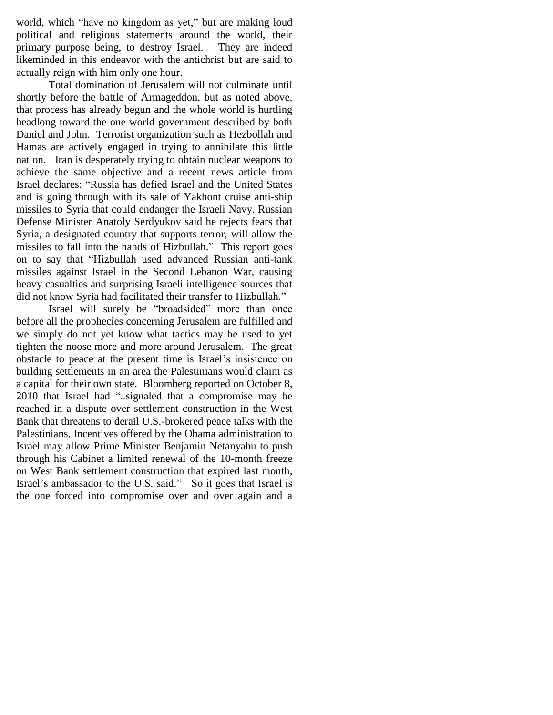world, which "have no kingdom as yet," but are making loud political and religious statements around the world, their primary purpose being, to destroy Israel. They are indeed likeminded in this endeavor with the antichrist but are said to actually reign with him only one hour.

Total domination of Jerusalem will not culminate until shortly before the battle of Armageddon, but as noted above, that process has already begun and the whole world is hurtling headlong toward the one world government described by both Daniel and John. Terrorist organization such as Hezbollah and Hamas are actively engaged in trying to annihilate this little nation. Iran is desperately trying to obtain nuclear weapons to achieve the same objective and a recent news article from Israel declares: "Russia has defied Israel and the United States and is going through with its sale of Yakhont cruise anti-ship missiles to Syria that could endanger the Israeli Navy. Russian Defense Minister Anatoly Serdyukov said he rejects fears that Syria, a designated country that supports terror, will allow the missiles to fall into the hands of Hizbullah." This report goes on to say that "Hizbullah used advanced Russian anti-tank missiles against Israel in the Second Lebanon War, causing heavy casualties and surprising Israeli intelligence sources that did not know Syria had facilitated their transfer to Hizbullah."

Israel will surely be "broadsided" more than once before all the prophecies concerning Jerusalem are fulfilled and we simply do not yet know what tactics may be used to yet tighten the noose more and more around Jerusalem. The great obstacle to peace at the present time is Israel"s insistence on building settlements in an area the Palestinians would claim as a capital for their own state. Bloomberg reported on October 8, 2010 that Israel had "..signaled that a compromise may be reached in a dispute over settlement construction in the West Bank that threatens to derail U.S.-brokered peace talks with the Palestinians. Incentives offered by the Obama administration to Israel may allow Prime Minister [Benjamin Netanyahu](http://search.bloomberg.com/search?q=Benjamin%20Netanyahu&site=wnews&client=wnews&proxystylesheet=wnews&output=xml_no_dtd&ie=UTF-8&oe=UTF-8&filter=p&getfields=wnnis&sort=date:D:S:d1&partialfields=-wnnis:NOAVSYND&lr=-lang_ja) to push through his Cabinet a limited renewal of the 10-month freeze on West Bank settlement construction that expired last month, Israel"s ambassador to the U.S. said." So it goes that Israel is the one forced into compromise over and over again and a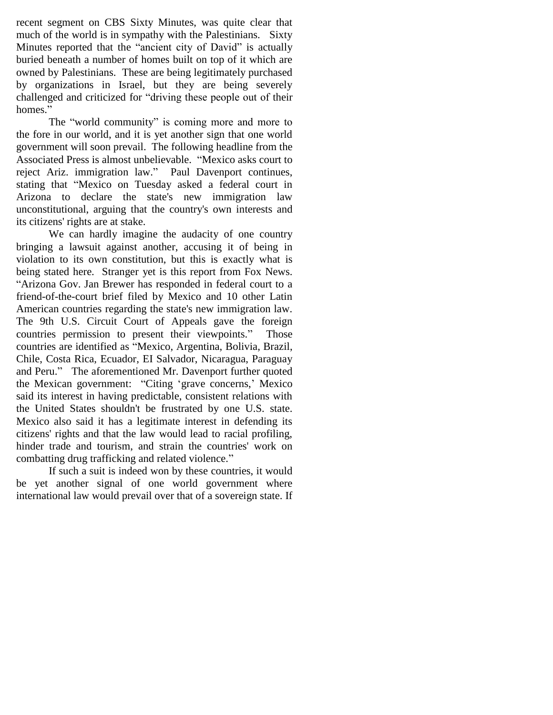recent segment on CBS Sixty Minutes, was quite clear that much of the world is in sympathy with the Palestinians. Sixty Minutes reported that the "ancient city of David" is actually buried beneath a number of homes built on top of it which are owned by Palestinians. These are being legitimately purchased by organizations in Israel, but they are being severely challenged and criticized for "driving these people out of their homes."

The "world community" is coming more and more to the fore in our world, and it is yet another sign that one world government will soon prevail. The following headline from the Associated Press is almost unbelievable. "Mexico asks court to reject Ariz. immigration law." Paul Davenport continues, stating that "Mexico on Tuesday asked a federal court in Arizona to declare the state's new immigration law unconstitutional, arguing that the country's own interests and its citizens' rights are at stake.

We can hardly imagine the audacity of one country bringing a lawsuit against another, accusing it of being in violation to its own constitution, but this is exactly what is being stated here. Stranger yet is this report from Fox News. "Arizona Gov. Jan Brewer has responded in federal court to a friend-of-the-court brief filed by Mexico and 10 other Latin American countries regarding the state's new immigration law. The 9th U.S. Circuit Court of Appeals gave the foreign countries permission to present their viewpoints." Those countries are identified as "Mexico, Argentina, Bolivia, Brazil, Chile, Costa Rica, Ecuador, EI Salvador, Nicaragua, Paraguay and Peru." The aforementioned Mr. Davenport further quoted the Mexican government: "Citing "grave concerns," Mexico said its interest in having predictable, consistent relations with the United States shouldn't be frustrated by one U.S. state. Mexico also said it has a legitimate interest in defending its citizens' rights and that the law would lead to racial profiling, hinder trade and tourism, and strain the countries' work on combatting drug trafficking and related violence."

If such a suit is indeed won by these countries, it would be yet another signal of one world government where international law would prevail over that of a sovereign state. If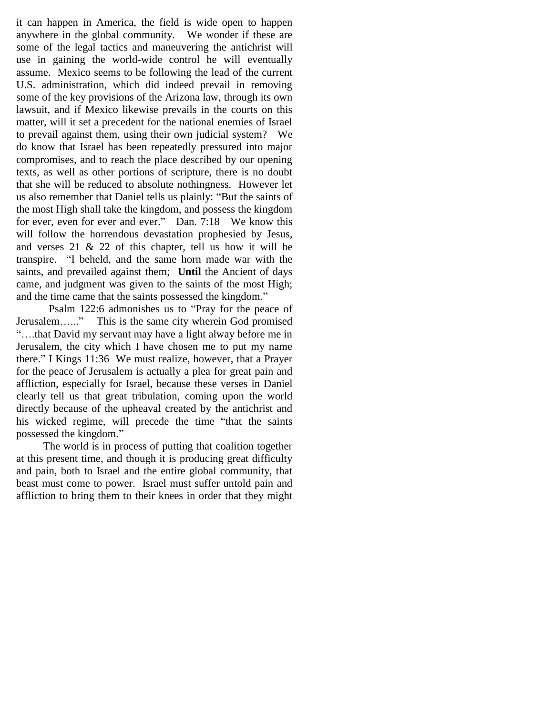it can happen in America, the field is wide open to happen anywhere in the global community. We wonder if these are some of the legal tactics and maneuvering the antichrist will use in gaining the world-wide control he will eventually assume. Mexico seems to be following the lead of the current U.S. administration, which did indeed prevail in removing some of the key provisions of the Arizona law, through its own lawsuit, and if Mexico likewise prevails in the courts on this matter, will it set a precedent for the national enemies of Israel to prevail against them, using their own judicial system? We do know that Israel has been repeatedly pressured into major compromises, and to reach the place described by our opening texts, as well as other portions of scripture, there is no doubt that she will be reduced to absolute nothingness. However let us also remember that Daniel tells us plainly: "But the saints of the most High shall take the kingdom, and possess the kingdom for ever, even for ever and ever." Dan. 7:18 We know this will follow the horrendous devastation prophesied by Jesus, and verses  $21 \& 22$  of this chapter, tell us how it will be transpire. "I beheld, and the same horn made war with the saints, and prevailed against them; **Until** the Ancient of days came, and judgment was given to the saints of the most High; and the time came that the saints possessed the kingdom."

Psalm 122:6 admonishes us to "Pray for the peace of Jerusalem…..." This is the same city wherein God promised "….that David my servant may have a light alway before me in Jerusalem, the city which I have chosen me to put my name there." I Kings 11:36 We must realize, however, that a Prayer for the peace of Jerusalem is actually a plea for great pain and affliction, especially for Israel, because these verses in Daniel clearly tell us that great tribulation, coming upon the world directly because of the upheaval created by the antichrist and his wicked regime, will precede the time "that the saints possessed the kingdom."

 The world is in process of putting that coalition together at this present time, and though it is producing great difficulty and pain, both to Israel and the entire global community, that beast must come to power. Israel must suffer untold pain and affliction to bring them to their knees in order that they might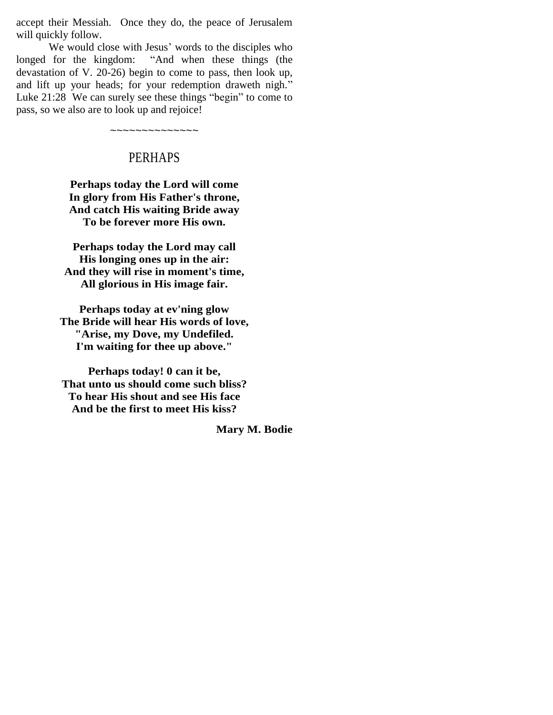accept their Messiah. Once they do, the peace of Jerusalem will quickly follow.

We would close with Jesus' words to the disciples who longed for the kingdom: "And when these things (the devastation of V. 20-26) begin to come to pass, then look up, and lift up your heads; for your redemption draweth nigh." Luke 21:28 We can surely see these things "begin" to come to pass, so we also are to look up and rejoice!

# PERHAPS

~~~~~~~~~~~~~~

**Perhaps today the Lord will come In glory from His Father's throne, And catch His waiting Bride away To be forever more His own.**

**Perhaps today the Lord may call His longing ones up in the air: And they will rise in moment's time, All glorious in His image fair.**

**Perhaps today at ev'ning glow The Bride will hear His words of love, "Arise, my Dove, my Undefiled. I'm waiting for thee up above."**

**Perhaps today! 0 can it be, That unto us should come such bliss? To hear His shout and see His face And be the first to meet His kiss?** 

**Mary M. Bodie**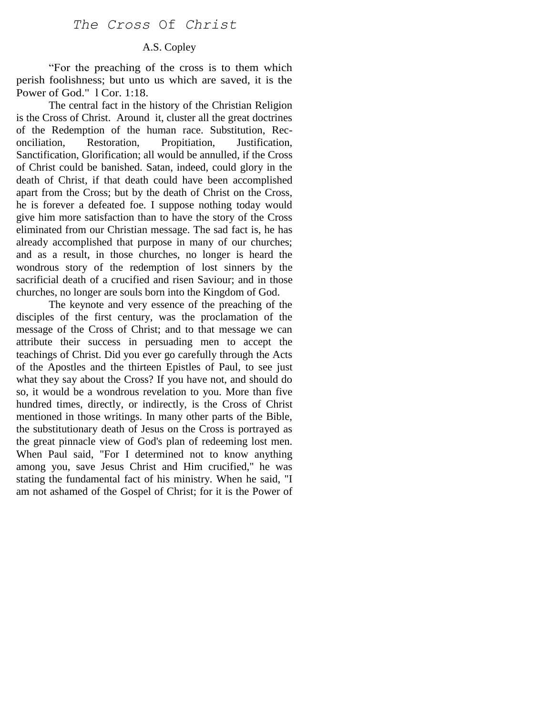# A.S. Copley

"For the preaching of the cross is to them which perish foolishness; but unto us which are saved, it is the Power of God." 1 Cor. 1:18.

The central fact in the history of the Christian Religion is the Cross of Christ. Around it, cluster all the great doctrines of the Redemption of the human race. Substitution, Reconciliation, Restoration, Propitiation, Justification, Sanctification, Glorification; all would be annulled, if the Cross of Christ could be banished. Satan, indeed, could glory in the death of Christ, if that death could have been accomplished apart from the Cross; but by the death of Christ on the Cross, he is forever a defeated foe. I suppose nothing today would give him more satisfaction than to have the story of the Cross eliminated from our Christian message. The sad fact is, he has already accomplished that purpose in many of our churches; and as a result, in those churches, no longer is heard the wondrous story of the redemption of lost sinners by the sacrificial death of a crucified and risen Saviour; and in those churches, no longer are souls born into the Kingdom of God.

The keynote and very essence of the preaching of the disciples of the first century, was the proclamation of the message of the Cross of Christ; and to that message we can attribute their success in persuading men to accept the teachings of Christ. Did you ever go carefully through the Acts of the Apostles and the thirteen Epistles of Paul, to see just what they say about the Cross? If you have not, and should do so, it would be a wondrous revelation to you. More than five hundred times, directly, or indirectly, is the Cross of Christ mentioned in those writings. In many other parts of the Bible, the substitutionary death of Jesus on the Cross is portrayed as the great pinnacle view of God's plan of redeeming lost men. When Paul said, "For I determined not to know anything among you, save Jesus Christ and Him crucified," he was stating the fundamental fact of his ministry. When he said, "I am not ashamed of the Gospel of Christ; for it is the Power of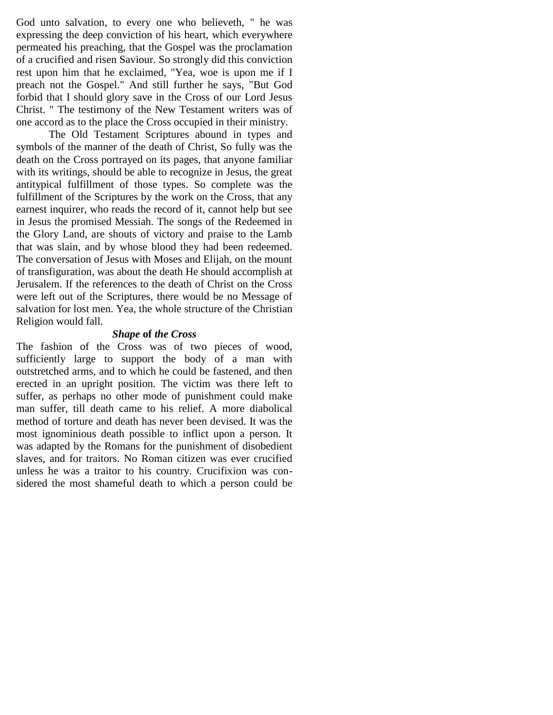God unto salvation, to every one who believeth, " he was expressing the deep conviction of his heart, which everywhere permeated his preaching, that the Gospel was the proclamation of a crucified and risen Saviour. So strongly did this conviction rest upon him that he exclaimed, "Yea, woe is upon me if I preach not the Gospel." And still further he says, "But God forbid that I should glory save in the Cross of our Lord Jesus Christ. " The testimony of the New Testament writers was of one accord as to the place the Cross occupied in their ministry.

The Old Testament Scriptures abound in types and symbols of the manner of the death of Christ, So fully was the death on the Cross portrayed on its pages, that anyone familiar with its writings, should be able to recognize in Jesus, the great antitypical fulfillment of those types. So complete was the fulfillment of the Scriptures by the work on the Cross, that any earnest inquirer, who reads the record of it, cannot help but see in Jesus the promised Messiah. The songs of the Redeemed in the Glory Land, are shouts of victory and praise to the Lamb that was slain, and by whose blood they had been redeemed. The conversation of Jesus with Moses and Elijah, on the mount of transfiguration, was about the death He should accomplish at Jerusalem. If the references to the death of Christ on the Cross were left out of the Scriptures, there would be no Message of salvation for lost men. Yea, the whole structure of the Christian Religion would fall.

#### *Shape* **of** *the Cross*

The fashion of the Cross was of two pieces of wood, sufficiently large to support the body of a man with outstretched arms, and to which he could be fastened, and then erected in an upright position. The victim was there left to suffer, as perhaps no other mode of punishment could make man suffer, till death came to his relief. A more diabolical method of torture and death has never been devised. It was the most ignominious death possible to inflict upon a person. It was adapted by the Romans for the punishment of disobedient slaves, and for traitors. No Roman citizen was ever crucified unless he was a traitor to his country. Crucifixion was considered the most shameful death to which a person could be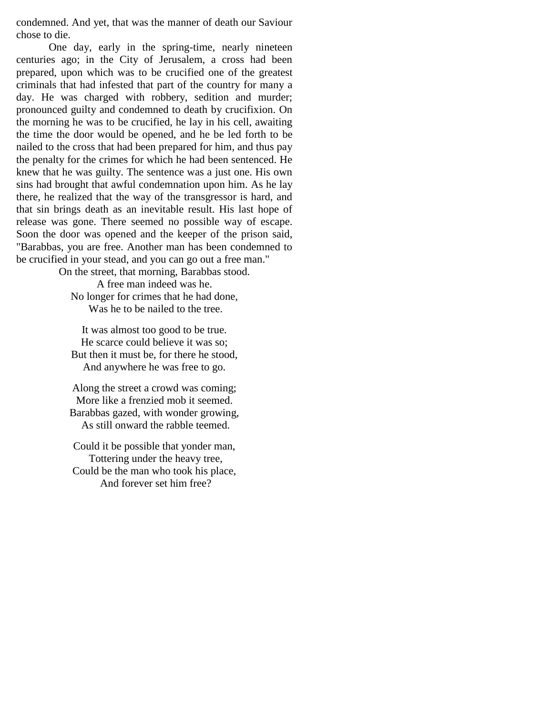condemned. And yet, that was the manner of death our Saviour chose to die.

One day, early in the spring-time, nearly nineteen centuries ago; in the City of Jerusalem, a cross had been prepared, upon which was to be crucified one of the greatest criminals that had infested that part of the country for many a day. He was charged with robbery, sedition and murder; pronounced guilty and condemned to death by crucifixion. On the morning he was to be crucified, he lay in his cell, awaiting the time the door would be opened, and he be led forth to be nailed to the cross that had been prepared for him, and thus pay the penalty for the crimes for which he had been sentenced. He knew that he was guilty. The sentence was a just one. His own sins had brought that awful condemnation upon him. As he lay there, he realized that the way of the transgressor is hard, and that sin brings death as an inevitable result. His last hope of release was gone. There seemed no possible way of escape. Soon the door was opened and the keeper of the prison said, "Barabbas, you are free. Another man has been condemned to be crucified in your stead, and you can go out a free man."

On the street, that morning, Barabbas stood. A free man indeed was he. No longer for crimes that he had done, Was he to be nailed to the tree.

It was almost too good to be true. He scarce could believe it was so; But then it must be, for there he stood, And anywhere he was free to go.

Along the street a crowd was coming; More like a frenzied mob it seemed. Barabbas gazed, with wonder growing, As still onward the rabble teemed.

Could it be possible that yonder man, Tottering under the heavy tree, Could be the man who took his place, And forever set him free?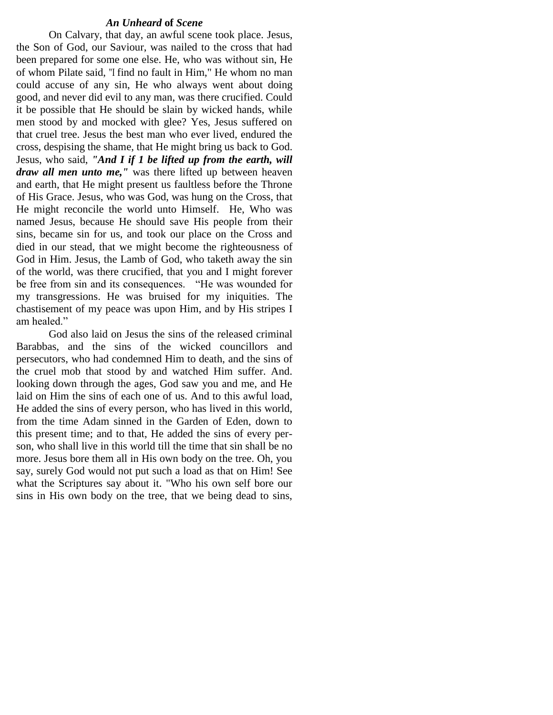#### *An Unheard* **of** *Scene*

On Calvary, that day, an awful scene took place. Jesus, the Son of God, our Saviour, was nailed to the cross that had been prepared for some one else. He, who was without sin, He of whom Pilate said, "I find no fault in Him," He whom no man could accuse of any sin, He who always went about doing good, and never did evil to any man, was there crucified. Could it be possible that He should be slain by wicked hands, while men stood by and mocked with glee? Yes, Jesus suffered on that cruel tree. Jesus the best man who ever lived, endured the cross, despising the shame, that He might bring us back to God. Jesus, who said, *"And I if 1 be lifted up from the earth, will draw all men unto me,"* was there lifted up between heaven and earth, that He might present us faultless before the Throne of His Grace. Jesus, who was God, was hung on the Cross, that He might reconcile the world unto Himself. He, Who was named Jesus, because He should save His people from their sins, became sin for us, and took our place on the Cross and died in our stead, that we might become the righteousness of God in Him. Jesus, the Lamb of God, who taketh away the sin of the world, was there crucified, that you and I might forever be free from sin and its consequences. "He was wounded for my transgressions. He was bruised for my iniquities. The chastisement of my peace was upon Him, and by His stripes I am healed."

God also laid on Jesus the sins of the released criminal Barabbas, and the sins of the wicked councillors and persecutors, who had condemned Him to death, and the sins of the cruel mob that stood by and watched Him suffer. And. looking down through the ages, God saw you and me, and He laid on Him the sins of each one of us. And to this awful load, He added the sins of every person, who has lived in this world, from the time Adam sinned in the Garden of Eden, down to this present time; and to that, He added the sins of every person, who shall live in this world till the time that sin shall be no more. Jesus bore them all in His own body on the tree. Oh, you say, surely God would not put such a load as that on Him! See what the Scriptures say about it. "Who his own self bore our sins in His own body on the tree, that we being dead to sins,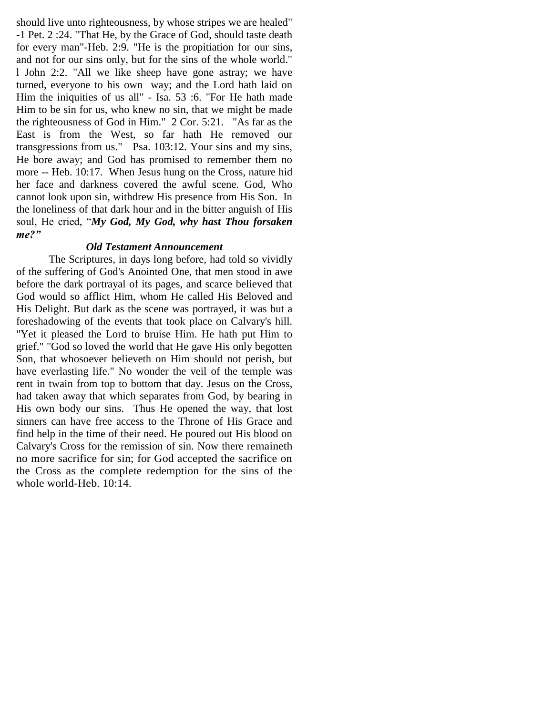should live unto righteousness, by whose stripes we are healed" -1 Pet. 2 :24. "That He, by the Grace of God, should taste death for every man"-Heb. 2:9. "He is the propitiation for our sins, and not for our sins only, but for the sins of the whole world." l John 2:2. "All we like sheep have gone astray; we have turned, everyone to his own way; and the Lord hath laid on Him the iniquities of us all" - Isa. 53 :6. "For He hath made Him to be sin for us, who knew no sin, that we might be made the righteousness of God in Him." 2 Cor. 5:21. "As far as the East is from the West, so far hath He removed our transgressions from us." Psa. 103:12. Your sins and my sins, He bore away; and God has promised to remember them no more -- Heb. 10:17. When Jesus hung on the Cross, nature hid her face and darkness covered the awful scene. God, Who cannot look upon sin, withdrew His presence from His Son. In the loneliness of that dark hour and in the bitter anguish of His soul, He cried, "*My God, My God, why hast Thou forsaken me?"*

# *Old Testament Announcement*

The Scriptures, in days long before, had told so vividly of the suffering of God's Anointed One, that men stood in awe before the dark portrayal of its pages, and scarce believed that God would so afflict Him, whom He called His Beloved and His Delight. But dark as the scene was portrayed, it was but a foreshadowing of the events that took place on Calvary's hill. "Yet it pleased the Lord to bruise Him. He hath put Him to grief." "God so loved the world that He gave His only begotten Son, that whosoever believeth on Him should not perish, but have everlasting life." No wonder the veil of the temple was rent in twain from top to bottom that day. Jesus on the Cross, had taken away that which separates from God, by bearing in His own body our sins. Thus He opened the way, that lost sinners can have free access to the Throne of His Grace and find help in the time of their need. He poured out His blood on Calvary's Cross for the remission of sin. Now there remaineth no more sacrifice for sin; for God accepted the sacrifice on the Cross as the complete redemption for the sins of the whole world-Heb. 10:14.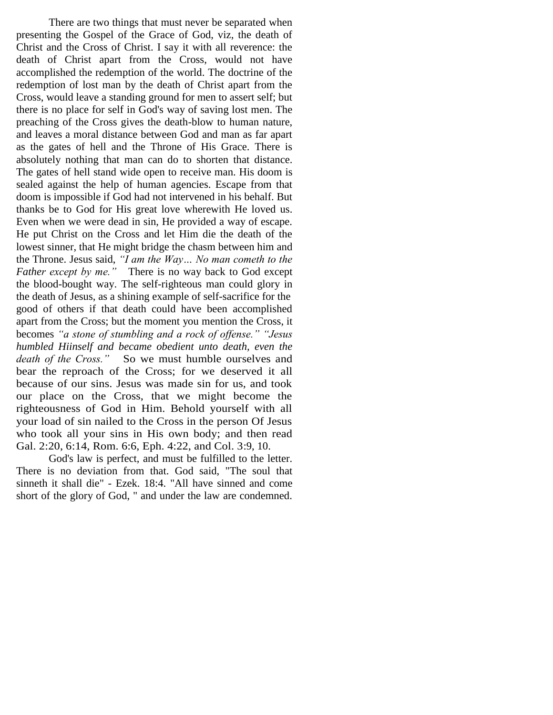There are two things that must never be separated when presenting the Gospel of the Grace of God, viz, the death of Christ and the Cross of Christ. I say it with all reverence: the death of Christ apart from the Cross, would not have accomplished the redemption of the world. The doctrine of the redemption of lost man by the death of Christ apart from the Cross, would leave a standing ground for men to assert self; but there is no place for self in God's way of saving lost men. The preaching of the Cross gives the death-blow to human nature, and leaves a moral distance between God and man as far apart as the gates of hell and the Throne of His Grace. There is absolutely nothing that man can do to shorten that distance. The gates of hell stand wide open to receive man. His doom is sealed against the help of human agencies. Escape from that doom is impossible if God had not intervened in his behalf. But thanks be to God for His great love wherewith He loved us. Even when we were dead in sin, He provided a way of escape. He put Christ on the Cross and let Him die the death of the lowest sinner, that He might bridge the chasm between him and the Throne. Jesus said, *"I am the Way… No man cometh to the Father except by me."* There is no way back to God except the blood-bought way. The self-righteous man could glory in the death of Jesus, as a shining example of self-sacrifice for the good of others if that death could have been accomplished apart from the Cross; but the moment you mention the Cross, it becomes *"a stone of stumbling and a rock of offense." "Jesus humbled Hiinself and became obedient unto death, even the death of the Cross."* So we must humble ourselves and bear the reproach of the Cross; for we deserved it all because of our sins. Jesus was made sin for us, and took our place on the Cross, that we might become the righteousness of God in Him. Behold yourself with all your load of sin nailed to the Cross in the person Of Jesus who took all your sins in His own body; and then read Gal. 2:20, 6:14, Rom. 6:6, Eph. 4:22, and Col. 3:9, 10.

God's law is perfect, and must be fulfilled to the letter. There is no deviation from that. God said, "The soul that sinneth it shall die" - Ezek. 18:4. "All have sinned and come short of the glory of God, " and under the law are condemned.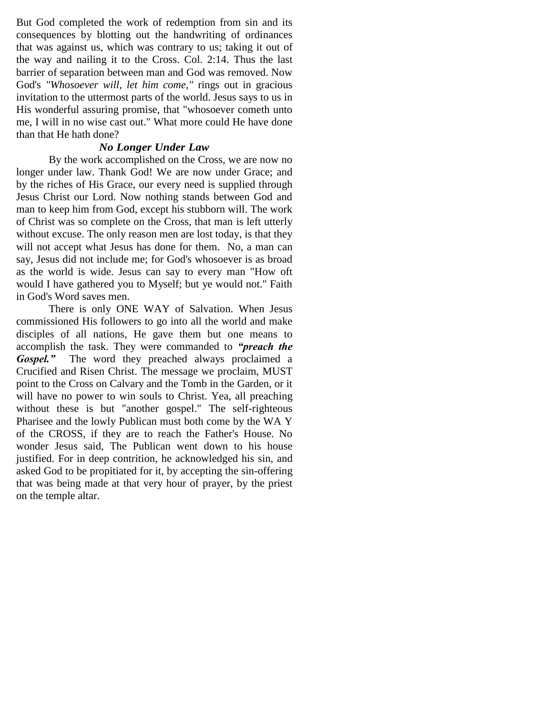But God completed the work of redemption from sin and its consequences by blotting out the handwriting of ordinances that was against us, which was contrary to us; taking it out of the way and nailing it to the Cross. Col. 2:14. Thus the last barrier of separation between man and God was removed. Now God's *"Whosoever will, let him come,"* rings out in gracious invitation to the uttermost parts of the world. Jesus says to us in His wonderful assuring promise, that "whosoever cometh unto me, I will in no wise cast out." What more could He have done than that He hath done?

## *No Longer Under Law*

By the work accomplished on the Cross, we are now no longer under law. Thank God! We are now under Grace; and by the riches of His Grace, our every need is supplied through Jesus Christ our Lord. Now nothing stands between God and man to keep him from God, except his stubborn will. The work of Christ was so complete on the Cross, that man is left utterly without excuse. The only reason men are lost today, is that they will not accept what Jesus has done for them. No, a man can say, Jesus did not include me; for God's whosoever is as broad as the world is wide. Jesus can say to every man "How oft would I have gathered you to Myself; but ye would not." Faith in God's Word saves men.

There is only ONE WAY of Salvation. When Jesus commissioned His followers to go into all the world and make disciples of all nations, He gave them but one means to accomplish the task. They were commanded to *"preach the Gospel."* The word they preached always proclaimed a Crucified and Risen Christ. The message we proclaim, MUST point to the Cross on Calvary and the Tomb in the Garden, or it will have no power to win souls to Christ. Yea, all preaching without these is but "another gospel." The self-righteous Pharisee and the lowly Publican must both come by the WA Y of the CROSS, if they are to reach the Father's House. No wonder Jesus said, The Publican went down to his house justified. For in deep contrition, he acknowledged his sin, and asked God to be propitiated for it, by accepting the sin-offering that was being made at that very hour of prayer, by the priest on the temple altar.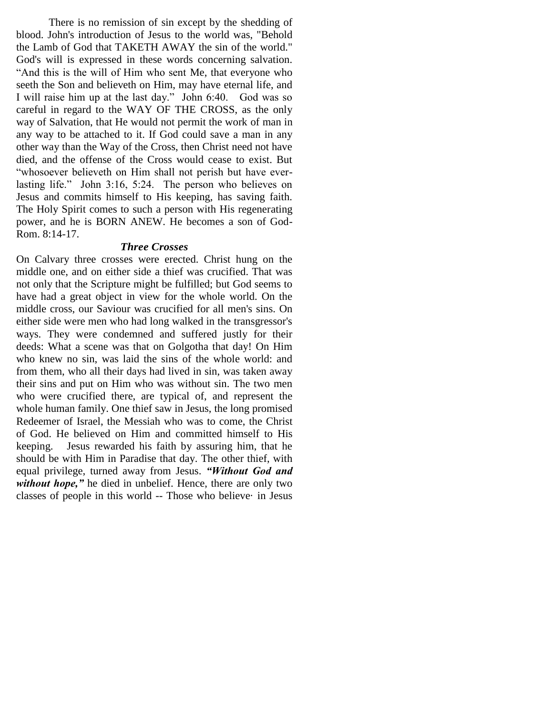There is no remission of sin except by the shedding of blood. John's introduction of Jesus to the world was, "Behold the Lamb of God that TAKETH AWAY the sin of the world." God's will is expressed in these words concerning salvation. "And this is the will of Him who sent Me, that everyone who seeth the Son and believeth on Him, may have eternal life, and I will raise him up at the last day." John 6:40. God was so careful in regard to the WAY OF THE CROSS, as the only way of Salvation, that He would not permit the work of man in any way to be attached to it. If God could save a man in any other way than the Way of the Cross, then Christ need not have died, and the offense of the Cross would cease to exist. But "whosoever believeth on Him shall not perish but have everlasting life." John 3:16, 5:24. The person who believes on Jesus and commits himself to His keeping, has saving faith. The Holy Spirit comes to such a person with His regenerating power, and he is BORN ANEW. He becomes a son of God-Rom. 8:14-17.

#### *Three Crosses*

On Calvary three crosses were erected. Christ hung on the middle one, and on either side a thief was crucified. That was not only that the Scripture might be fulfilled; but God seems to have had a great object in view for the whole world. On the middle cross, our Saviour was crucified for all men's sins. On either side were men who had long walked in the transgressor's ways. They were condemned and suffered justly for their deeds: What a scene was that on Golgotha that day! On Him who knew no sin, was laid the sins of the whole world: and from them, who all their days had lived in sin, was taken away their sins and put on Him who was without sin. The two men who were crucified there, are typical of, and represent the whole human family. One thief saw in Jesus, the long promised Redeemer of Israel, the Messiah who was to come, the Christ of God. He believed on Him and committed himself to His keeping. Jesus rewarded his faith by assuring him, that he should be with Him in Paradise that day. The other thief, with equal privilege, turned away from Jesus. *"Without God and without hope*," he died in unbelief. Hence, there are only two classes of people in this world -- Those who believe· in Jesus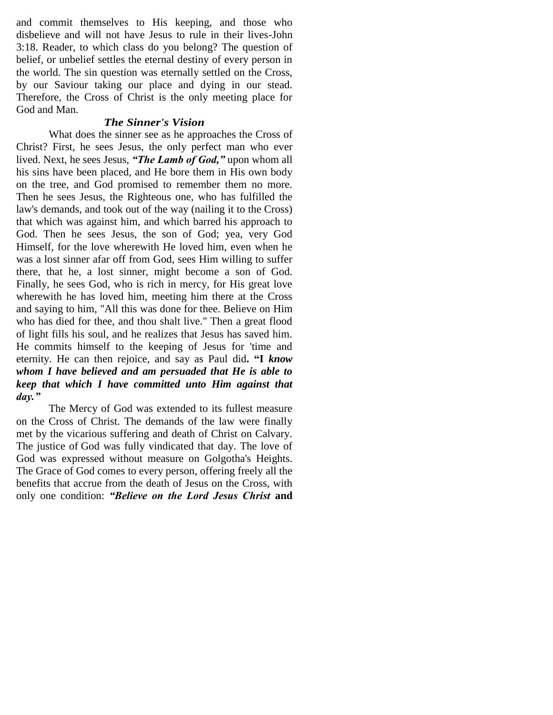and commit themselves to His keeping, and those who disbelieve and will not have Jesus to rule in their lives-John 3:18. Reader, to which class do you belong? The question of belief, or unbelief settles the eternal destiny of every person in the world. The sin question was eternally settled on the Cross, by our Saviour taking our place and dying in our stead. Therefore, the Cross of Christ is the only meeting place for God and Man.

#### *The Sinner's Vision*

What does the sinner see as he approaches the Cross of Christ? First, he sees Jesus, the only perfect man who ever lived. Next, he sees Jesus, *"The Lamb of God,"* upon whom all his sins have been placed, and He bore them in His own body on the tree, and God promised to remember them no more. Then he sees Jesus, the Righteous one, who has fulfilled the law's demands, and took out of the way (nailing it to the Cross) that which was against him, and which barred his approach to God. Then he sees Jesus, the son of God; yea, very God Himself, for the love wherewith He loved him, even when he was a lost sinner afar off from God, sees Him willing to suffer there, that he, a lost sinner, might become a son of God. Finally, he sees God, who is rich in mercy, for His great love wherewith he has loved him, meeting him there at the Cross and saying to him, "All this was done for thee. Believe on Him who has died for thee, and thou shalt live." Then a great flood of light fills his soul, and he realizes that Jesus has saved him. He commits himself to the keeping of Jesus for 'time and eternity. He can then rejoice, and say as Paul did**. "I** *know whom I have believed and am persuaded that He is able to keep that which I have committed unto Him against that day."* 

The Mercy of God was extended to its fullest measure on the Cross of Christ. The demands of the law were finally met by the vicarious suffering and death of Christ on Calvary. The justice of God was fully vindicated that day. The love of God was expressed without measure on Golgotha's Heights. The Grace of God comes to every person, offering freely all the benefits that accrue from the death of Jesus on the Cross, with only one condition: *"Believe on the Lord Jesus Christ* **and**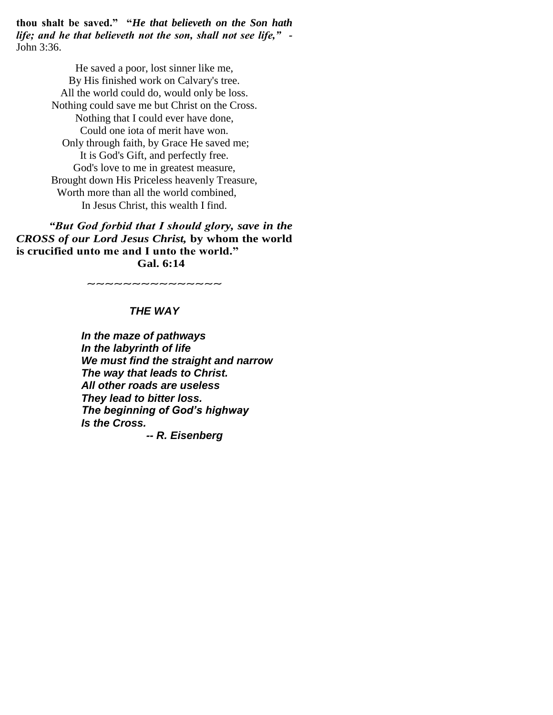**thou shalt be saved." "***He that believeth on the Son hath life; and he that believeth not the son, shall not see life," -* John 3:36.

> He saved a poor, lost sinner like me, By His finished work on Calvary's tree. All the world could do, would only be loss. Nothing could save me but Christ on the Cross. Nothing that I could ever have done, Could one iota of merit have won. Only through faith, by Grace He saved me; It is God's Gift, and perfectly free. God's love to me in greatest measure, Brought down His Priceless heavenly Treasure, Worth more than all the world combined, In Jesus Christ, this wealth I find.

*"But God forbid that I should glory, save in the CROSS of our Lord Jesus Christ,* **by whom the world is crucified unto me and I unto the world." Gal. 6:14**

 $\sim$ ~~~~~~~~~~~~~

#### *THE WAY*

*In the maze of pathways In the labyrinth of life We must find the straight and narrow The way that leads to Christ. All other roads are useless They lead to bitter loss. The beginning of God's highway Is the Cross.*

*-- R. Eisenberg*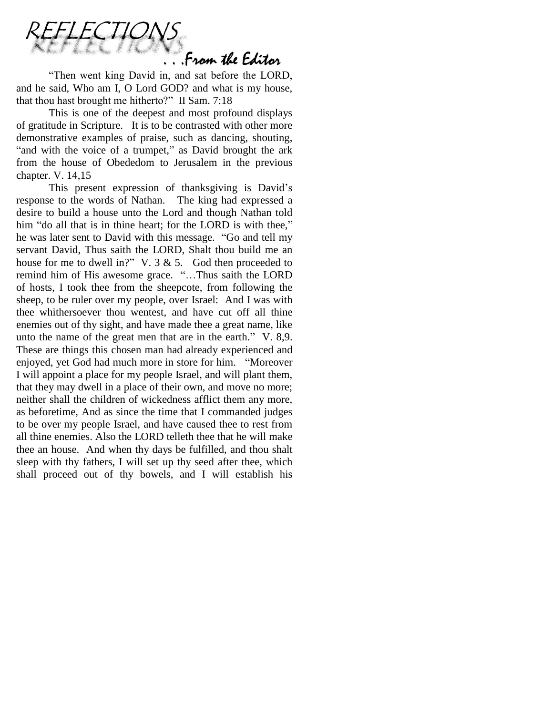

"Then went king David in, and sat before the LORD, and he said, Who am I, O Lord GOD? and what is my house, that thou hast brought me hitherto?" II Sam. 7:18

This is one of the deepest and most profound displays of gratitude in Scripture. It is to be contrasted with other more demonstrative examples of praise, such as dancing, shouting, "and with the voice of a trumpet," as David brought the ark from the house of Obededom to Jerusalem in the previous chapter. V. 14,15

This present expression of thanksgiving is David"s response to the words of Nathan. The king had expressed a desire to build a house unto the Lord and though Nathan told him "do all that is in thine heart; for the LORD is with thee," he was later sent to David with this message. "Go and tell my servant David, Thus saith the LORD, Shalt thou build me an house for me to dwell in?" V. 3 & 5. God then proceeded to remind him of His awesome grace. "…Thus saith the LORD of hosts, I took thee from the sheepcote, from following the sheep, to be ruler over my people, over Israel: And I was with thee whithersoever thou wentest, and have cut off all thine enemies out of thy sight, and have made thee a great name, like unto the name of the great men that are in the earth." V. 8,9. These are things this chosen man had already experienced and enjoyed, yet God had much more in store for him. "Moreover I will appoint a place for my people Israel, and will plant them, that they may dwell in a place of their own, and move no more; neither shall the children of wickedness afflict them any more, as beforetime, And as since the time that I commanded judges to be over my people Israel, and have caused thee to rest from all thine enemies. Also the LORD telleth thee that he will make thee an house. And when thy days be fulfilled, and thou shalt sleep with thy fathers, I will set up thy seed after thee, which shall proceed out of thy bowels, and I will establish his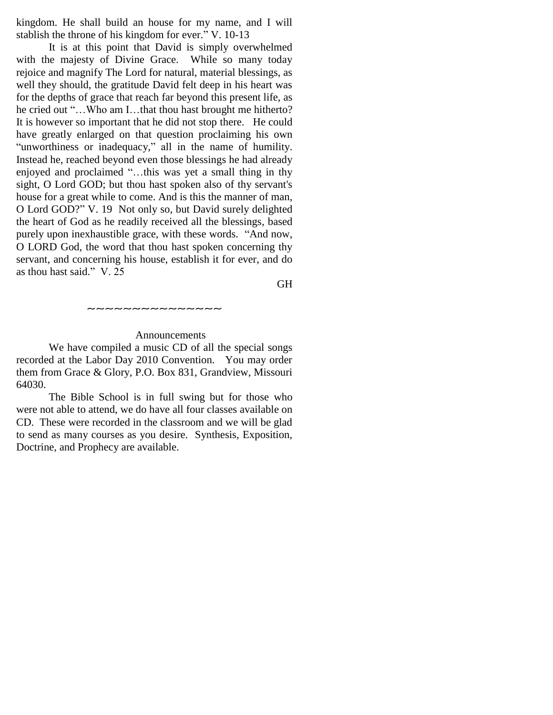kingdom. He shall build an house for my name, and I will stablish the throne of his kingdom for ever." V. 10-13

It is at this point that David is simply overwhelmed with the majesty of Divine Grace. While so many today rejoice and magnify The Lord for natural, material blessings, as well they should, the gratitude David felt deep in his heart was for the depths of grace that reach far beyond this present life, as he cried out "…Who am I…that thou hast brought me hitherto? It is however so important that he did not stop there. He could have greatly enlarged on that question proclaiming his own "unworthiness or inadequacy," all in the name of humility. Instead he, reached beyond even those blessings he had already enjoyed and proclaimed "…this was yet a small thing in thy sight, O Lord GOD; but thou hast spoken also of thy servant's house for a great while to come. And is this the manner of man, O Lord GOD?" V. 19 Not only so, but David surely delighted the heart of God as he readily received all the blessings, based purely upon inexhaustible grace, with these words. "And now, O LORD God, the word that thou hast spoken concerning thy servant, and concerning his house, establish it for ever, and do as thou hast said." V. 25

GH

#### Announcements

~~~~~~~~~~~~

We have compiled a music CD of all the special songs recorded at the Labor Day 2010 Convention. You may order them from Grace & Glory, P.O. Box 831, Grandview, Missouri 64030.

The Bible School is in full swing but for those who were not able to attend, we do have all four classes available on CD. These were recorded in the classroom and we will be glad to send as many courses as you desire. Synthesis, Exposition, Doctrine, and Prophecy are available.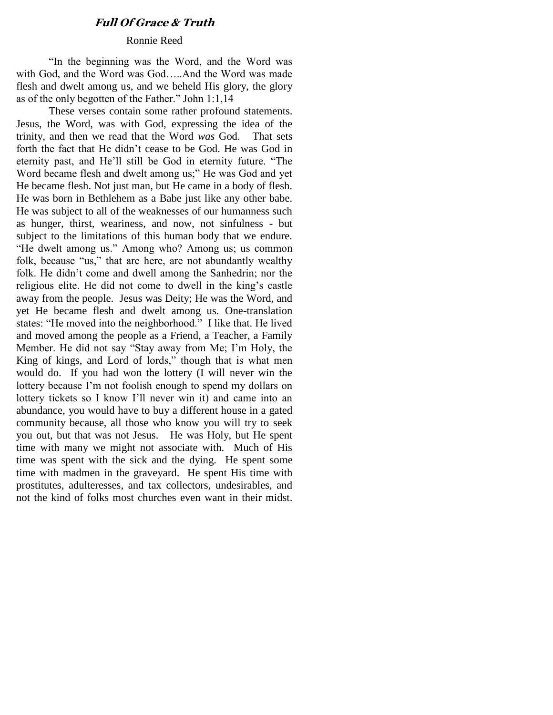## **Full Of Grace & Truth**

#### Ronnie Reed

"In the beginning was the Word, and the Word was with God, and the Word was God…..And the Word was made flesh and dwelt among us, and we beheld His glory, the glory as of the only begotten of the Father." John 1:1,14

These verses contain some rather profound statements. Jesus, the Word, was with God, expressing the idea of the trinity, and then we read that the Word *was* God. That sets forth the fact that He didn"t cease to be God. He was God in eternity past, and He"ll still be God in eternity future. "The Word became flesh and dwelt among us;" He was God and yet He became flesh. Not just man, but He came in a body of flesh. He was born in Bethlehem as a Babe just like any other babe. He was subject to all of the weaknesses of our humanness such as hunger, thirst, weariness, and now, not sinfulness - but subject to the limitations of this human body that we endure. "He dwelt among us." Among who? Among us; us common folk, because "us," that are here, are not abundantly wealthy folk. He didn"t come and dwell among the Sanhedrin; nor the religious elite. He did not come to dwell in the king"s castle away from the people. Jesus was Deity; He was the Word, and yet He became flesh and dwelt among us. One-translation states: "He moved into the neighborhood." I like that. He lived and moved among the people as a Friend, a Teacher, a Family Member. He did not say "Stay away from Me; I"m Holy, the King of kings, and Lord of lords," though that is what men would do. If you had won the lottery (I will never win the lottery because I'm not foolish enough to spend my dollars on lottery tickets so I know I"ll never win it) and came into an abundance, you would have to buy a different house in a gated community because, all those who know you will try to seek you out, but that was not Jesus. He was Holy, but He spent time with many we might not associate with. Much of His time was spent with the sick and the dying. He spent some time with madmen in the graveyard. He spent His time with prostitutes, adulteresses, and tax collectors, undesirables, and not the kind of folks most churches even want in their midst.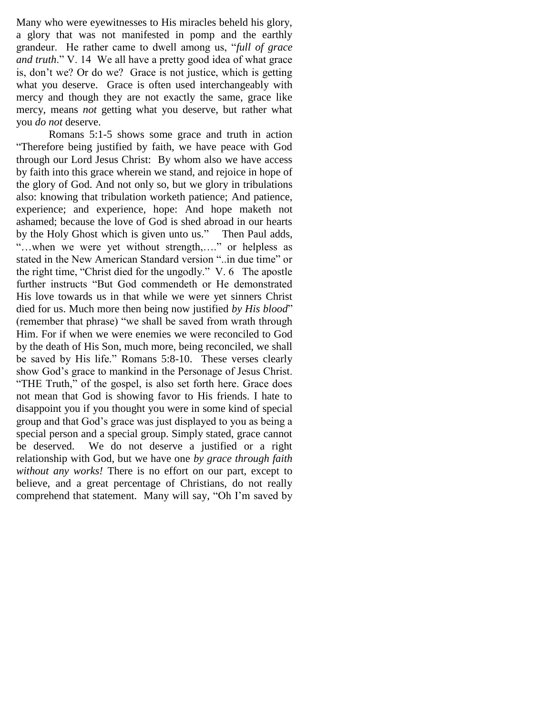Many who were eyewitnesses to His miracles beheld his glory, a glory that was not manifested in pomp and the earthly grandeur. He rather came to dwell among us, "*full of grace and truth*." V. 14 We all have a pretty good idea of what grace is, don"t we? Or do we? Grace is not justice, which is getting what you deserve. Grace is often used interchangeably with mercy and though they are not exactly the same, grace like mercy, means *not* getting what you deserve, but rather what you *do not* deserve.

Romans 5:1-5 shows some grace and truth in action "Therefore being justified by faith, we have peace with God through our Lord Jesus Christ: By whom also we have access by faith into this grace wherein we stand, and rejoice in hope of the glory of God. And not only so, but we glory in tribulations also: knowing that tribulation worketh patience; And patience, experience; and experience, hope: And hope maketh not ashamed; because the love of God is shed abroad in our hearts by the Holy Ghost which is given unto us." Then Paul adds, "…when we were yet without strength,…." or helpless as stated in the New American Standard version "..in due time" or the right time, "Christ died for the ungodly." V. 6 The apostle further instructs "But God commendeth or He demonstrated His love towards us in that while we were yet sinners Christ died for us. Much more then being now justified *by His blood*" (remember that phrase) "we shall be saved from wrath through Him. For if when we were enemies we were reconciled to God by the death of His Son, much more, being reconciled, we shall be saved by His life." Romans 5:8-10. These verses clearly show God"s grace to mankind in the Personage of Jesus Christ. "THE Truth," of the gospel, is also set forth here. Grace does not mean that God is showing favor to His friends. I hate to disappoint you if you thought you were in some kind of special group and that God"s grace was just displayed to you as being a special person and a special group. Simply stated, grace cannot be deserved. We do not deserve a justified or a right relationship with God, but we have one *by grace through faith without any works!* There is no effort on our part, except to believe, and a great percentage of Christians, do not really comprehend that statement. Many will say, "Oh I"m saved by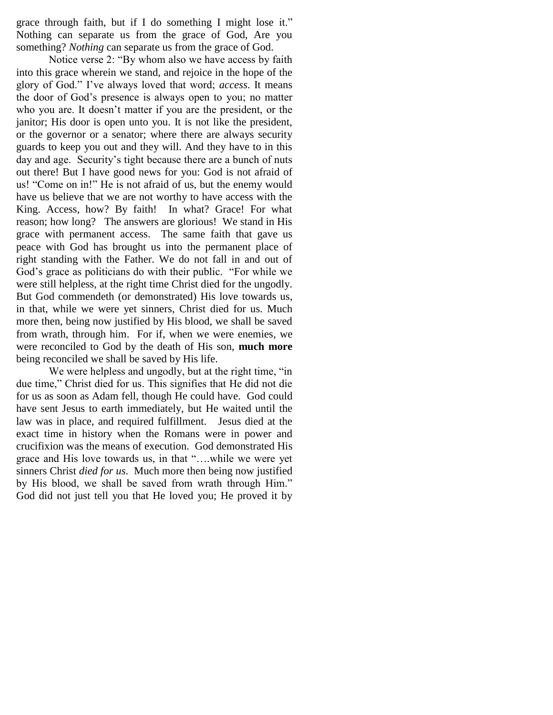grace through faith, but if I do something I might lose it." Nothing can separate us from the grace of God, Are you something? *Nothing* can separate us from the grace of God.

Notice verse 2: "By whom also we have access by faith into this grace wherein we stand, and rejoice in the hope of the glory of God." I"ve always loved that word; *access*. It means the door of God"s presence is always open to you; no matter who you are. It doesn't matter if you are the president, or the janitor; His door is open unto you. It is not like the president, or the governor or a senator; where there are always security guards to keep you out and they will. And they have to in this day and age. Security's tight because there are a bunch of nuts out there! But I have good news for you: God is not afraid of us! "Come on in!" He is not afraid of us, but the enemy would have us believe that we are not worthy to have access with the King. Access, how? By faith! In what? Grace! For what reason; how long? The answers are glorious! We stand in His grace with permanent access. The same faith that gave us peace with God has brought us into the permanent place of right standing with the Father. We do not fall in and out of God's grace as politicians do with their public. "For while we were still helpless, at the right time Christ died for the ungodly. But God commendeth (or demonstrated) His love towards us, in that, while we were yet sinners, Christ died for us. Much more then, being now justified by His blood, we shall be saved from wrath, through him. For if, when we were enemies, we were reconciled to God by the death of His son, **much more** being reconciled we shall be saved by His life.

We were helpless and ungodly, but at the right time, "in" due time," Christ died for us. This signifies that He did not die for us as soon as Adam fell, though He could have. God could have sent Jesus to earth immediately, but He waited until the law was in place, and required fulfillment. Jesus died at the exact time in history when the Romans were in power and crucifixion was the means of execution. God demonstrated His grace and His love towards us, in that "….while we were yet sinners Christ *died for us*. Much more then being now justified by His blood, we shall be saved from wrath through Him." God did not just tell you that He loved you; He proved it by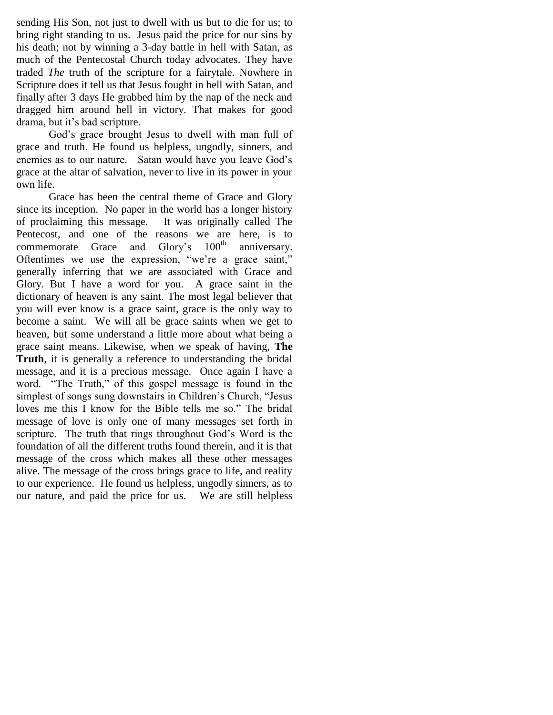sending His Son, not just to dwell with us but to die for us; to bring right standing to us. Jesus paid the price for our sins by his death; not by winning a 3-day battle in hell with Satan, as much of the Pentecostal Church today advocates. They have traded *The* truth of the scripture for a fairytale. Nowhere in Scripture does it tell us that Jesus fought in hell with Satan, and finally after 3 days He grabbed him by the nap of the neck and dragged him around hell in victory. That makes for good drama, but it"s bad scripture.

God"s grace brought Jesus to dwell with man full of grace and truth. He found us helpless, ungodly, sinners, and enemies as to our nature. Satan would have you leave God"s grace at the altar of salvation, never to live in its power in your own life.

Grace has been the central theme of Grace and Glory since its inception. No paper in the world has a longer history of proclaiming this message. It was originally called The Pentecost, and one of the reasons we are here, is to commemorate Grace and Glory's 100<sup>th</sup> anniversary. Oftentimes we use the expression, "we"re a grace saint," generally inferring that we are associated with Grace and Glory. But I have a word for you. A grace saint in the dictionary of heaven is any saint. The most legal believer that you will ever know is a grace saint, grace is the only way to become a saint. We will all be grace saints when we get to heaven, but some understand a little more about what being a grace saint means. Likewise, when we speak of having, **The Truth**, it is generally a reference to understanding the bridal message, and it is a precious message. Once again I have a word. "The Truth," of this gospel message is found in the simplest of songs sung downstairs in Children's Church, "Jesus loves me this I know for the Bible tells me so." The bridal message of love is only one of many messages set forth in scripture. The truth that rings throughout God's Word is the foundation of all the different truths found therein, and it is that message of the cross which makes all these other messages alive. The message of the cross brings grace to life, and reality to our experience. He found us helpless, ungodly sinners, as to our nature, and paid the price for us. We are still helpless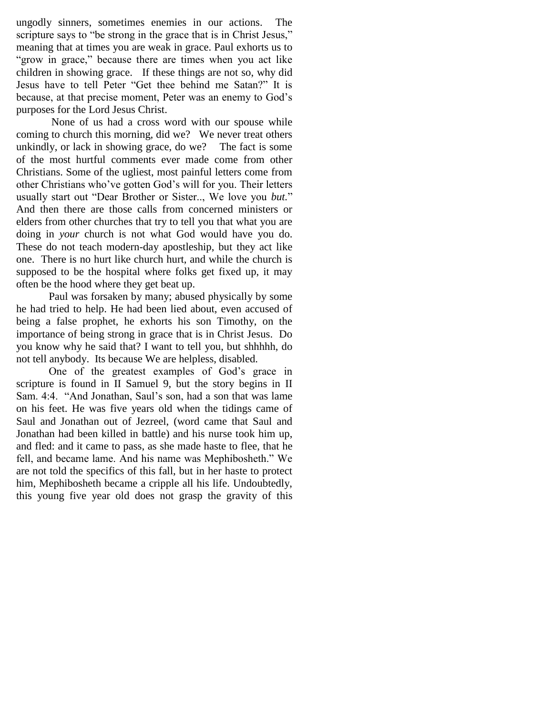ungodly sinners, sometimes enemies in our actions. The scripture says to "be strong in the grace that is in Christ Jesus," meaning that at times you are weak in grace. Paul exhorts us to "grow in grace," because there are times when you act like children in showing grace. If these things are not so, why did Jesus have to tell Peter "Get thee behind me Satan?" It is because, at that precise moment, Peter was an enemy to God"s purposes for the Lord Jesus Christ.

None of us had a cross word with our spouse while coming to church this morning, did we? We never treat others unkindly, or lack in showing grace, do we? The fact is some of the most hurtful comments ever made come from other Christians. Some of the ugliest, most painful letters come from other Christians who"ve gotten God"s will for you. Their letters usually start out "Dear Brother or Sister.., We love you *but.*" And then there are those calls from concerned ministers or elders from other churches that try to tell you that what you are doing in *your* church is not what God would have you do. These do not teach modern-day apostleship, but they act like one. There is no hurt like church hurt, and while the church is supposed to be the hospital where folks get fixed up, it may often be the hood where they get beat up.

Paul was forsaken by many; abused physically by some he had tried to help. He had been lied about, even accused of being a false prophet, he exhorts his son Timothy, on the importance of being strong in grace that is in Christ Jesus. Do you know why he said that? I want to tell you, but shhhhh, do not tell anybody. Its because We are helpless, disabled.

One of the greatest examples of God's grace in scripture is found in II Samuel 9, but the story begins in II Sam. 4:4. "And Jonathan, Saul"s son, had a son that was lame on his feet. He was five years old when the tidings came of Saul and Jonathan out of Jezreel, (word came that Saul and Jonathan had been killed in battle) and his nurse took him up, and fled: and it came to pass, as she made haste to flee, that he fell, and became lame. And his name was Mephibosheth." We are not told the specifics of this fall, but in her haste to protect him, Mephibosheth became a cripple all his life. Undoubtedly, this young five year old does not grasp the gravity of this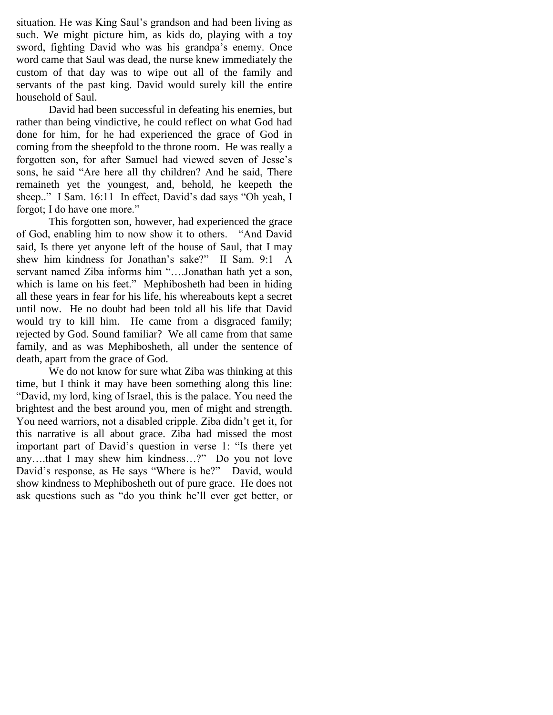situation. He was King Saul's grandson and had been living as such. We might picture him, as kids do, playing with a toy sword, fighting David who was his grandpa's enemy. Once word came that Saul was dead, the nurse knew immediately the custom of that day was to wipe out all of the family and servants of the past king. David would surely kill the entire household of Saul.

David had been successful in defeating his enemies, but rather than being vindictive, he could reflect on what God had done for him, for he had experienced the grace of God in coming from the sheepfold to the throne room. He was really a forgotten son, for after Samuel had viewed seven of Jesse"s sons, he said "Are here all thy children? And he said, There remaineth yet the youngest, and, behold, he keepeth the sheep.." I Sam. 16:11 In effect, David's dad says "Oh yeah, I forgot; I do have one more."

This forgotten son, however, had experienced the grace of God, enabling him to now show it to others. "And David said, Is there yet anyone left of the house of Saul, that I may shew him kindness for Jonathan's sake?" II Sam. 9:1 A servant named Ziba informs him "….Jonathan hath yet a son, which is lame on his feet." Mephibosheth had been in hiding all these years in fear for his life, his whereabouts kept a secret until now. He no doubt had been told all his life that David would try to kill him. He came from a disgraced family; rejected by God. Sound familiar? We all came from that same family, and as was Mephibosheth, all under the sentence of death, apart from the grace of God.

We do not know for sure what Ziba was thinking at this time, but I think it may have been something along this line: "David, my lord, king of Israel, this is the palace. You need the brightest and the best around you, men of might and strength. You need warriors, not a disabled cripple. Ziba didn"t get it, for this narrative is all about grace. Ziba had missed the most important part of David's question in verse 1: "Is there yet any….that I may shew him kindness…?" Do you not love David"s response, as He says "Where is he?" David, would show kindness to Mephibosheth out of pure grace. He does not ask questions such as "do you think he"ll ever get better, or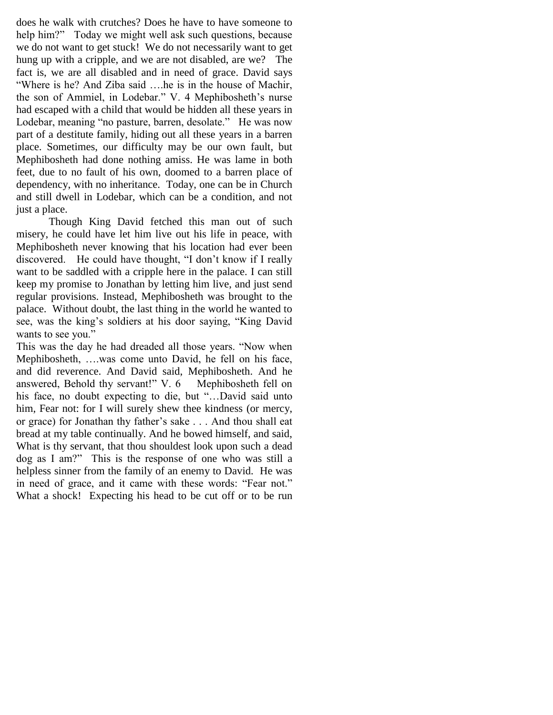does he walk with crutches? Does he have to have someone to help him?" Today we might well ask such questions, because we do not want to get stuck! We do not necessarily want to get hung up with a cripple, and we are not disabled, are we? The fact is, we are all disabled and in need of grace. David says "Where is he? And Ziba said ….he is in the house of Machir, the son of Ammiel, in Lodebar." V. 4 Mephibosheth"s nurse had escaped with a child that would be hidden all these years in Lodebar, meaning "no pasture, barren, desolate." He was now part of a destitute family, hiding out all these years in a barren place. Sometimes, our difficulty may be our own fault, but Mephibosheth had done nothing amiss. He was lame in both feet, due to no fault of his own, doomed to a barren place of dependency, with no inheritance. Today, one can be in Church and still dwell in Lodebar, which can be a condition, and not just a place.

Though King David fetched this man out of such misery, he could have let him live out his life in peace, with Mephibosheth never knowing that his location had ever been discovered. He could have thought, "I don"t know if I really want to be saddled with a cripple here in the palace. I can still keep my promise to Jonathan by letting him live, and just send regular provisions. Instead, Mephibosheth was brought to the palace. Without doubt, the last thing in the world he wanted to see, was the king"s soldiers at his door saying, "King David wants to see you."

This was the day he had dreaded all those years. "Now when Mephibosheth, ….was come unto David, he fell on his face, and did reverence. And David said, Mephibosheth. And he answered, Behold thy servant!" V. 6 Mephibosheth fell on his face, no doubt expecting to die, but "...David said unto him, Fear not: for I will surely shew thee kindness (or mercy, or grace) for Jonathan thy father"s sake . . . And thou shall eat bread at my table continually. And he bowed himself, and said, What is thy servant, that thou shouldest look upon such a dead dog as I am?" This is the response of one who was still a helpless sinner from the family of an enemy to David. He was in need of grace, and it came with these words: "Fear not." What a shock! Expecting his head to be cut off or to be run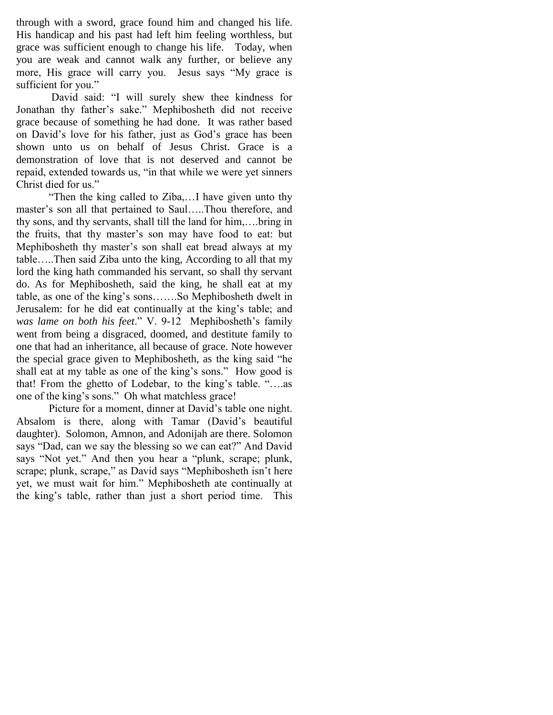through with a sword, grace found him and changed his life. His handicap and his past had left him feeling worthless, but grace was sufficient enough to change his life. Today, when you are weak and cannot walk any further, or believe any more, His grace will carry you. Jesus says "My grace is sufficient for you."

David said: "I will surely shew thee kindness for Jonathan thy father"s sake." Mephibosheth did not receive grace because of something he had done. It was rather based on David"s love for his father, just as God"s grace has been shown unto us on behalf of Jesus Christ. Grace is a demonstration of love that is not deserved and cannot be repaid, extended towards us, "in that while we were yet sinners Christ died for us."

"Then the king called to Ziba,…I have given unto thy master's son all that pertained to Saul.....Thou therefore, and thy sons, and thy servants, shall till the land for him,….bring in the fruits, that thy master's son may have food to eat: but Mephibosheth thy master's son shall eat bread always at my table…..Then said Ziba unto the king, According to all that my lord the king hath commanded his servant, so shall thy servant do. As for Mephibosheth, said the king, he shall eat at my table, as one of the king"s sons…….So Mephibosheth dwelt in Jerusalem: for he did eat continually at the king"s table; and *was lame on both his feet*." V. 9-12 Mephibosheth"s family went from being a disgraced, doomed, and destitute family to one that had an inheritance, all because of grace. Note however the special grace given to Mephibosheth, as the king said "he shall eat at my table as one of the king's sons." How good is that! From the ghetto of Lodebar, to the king"s table. "….as one of the king"s sons." Oh what matchless grace!

Picture for a moment, dinner at David's table one night. Absalom is there, along with Tamar (David"s beautiful daughter). Solomon, Amnon, and Adonijah are there. Solomon says "Dad, can we say the blessing so we can eat?" And David says "Not yet." And then you hear a "plunk, scrape; plunk, scrape; plunk, scrape," as David says "Mephibosheth isn't here yet, we must wait for him." Mephibosheth ate continually at the king"s table, rather than just a short period time. This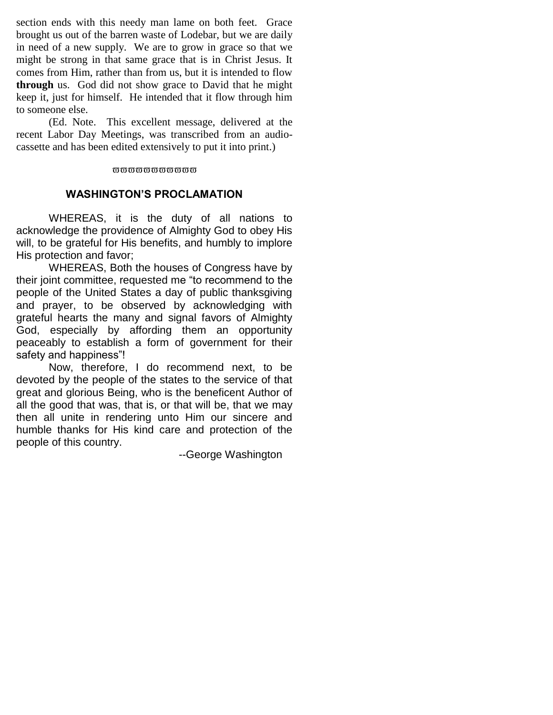section ends with this needy man lame on both feet. Grace brought us out of the barren waste of Lodebar, but we are daily in need of a new supply. We are to grow in grace so that we might be strong in that same grace that is in Christ Jesus. It comes from Him, rather than from us, but it is intended to flow **through** us. God did not show grace to David that he might keep it, just for himself. He intended that it flow through him to someone else.

(Ed. Note. This excellent message, delivered at the recent Labor Day Meetings, was transcribed from an audiocassette and has been edited extensively to put it into print.)

#### დ დ დ დ დ დ დ დ დ დ დ დ  $\alpha$

# **WASHINGTON'S PROCLAMATION**

 WHEREAS, it is the duty of all nations to acknowledge the providence of Almighty God to obey His will, to be grateful for His benefits, and humbly to implore His protection and favor;

WHEREAS, Both the houses of Congress have by their joint committee, requested me "to recommend to the people of the United States a day of public thanksgiving and prayer, to be observed by acknowledging with grateful hearts the many and signal favors of Almighty God, especially by affording them an opportunity peaceably to establish a form of government for their safety and happiness"!

Now, therefore, I do recommend next, to be devoted by the people of the states to the service of that great and glorious Being, who is the beneficent Author of all the good that was, that is, or that will be, that we may then all unite in rendering unto Him our sincere and humble thanks for His kind care and protection of the people of this country.

--George Washington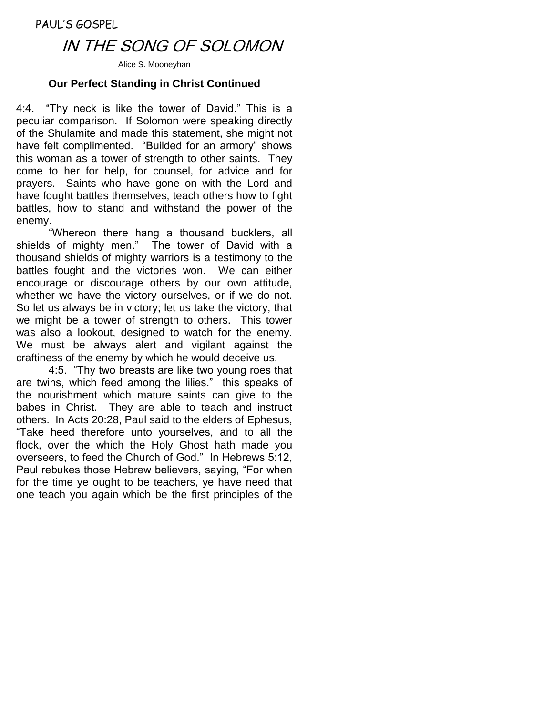PAUL'S GOSPEL

# IN THE SONG OF SOLOMON

Alice S. Mooneyhan

# **Our Perfect Standing in Christ Continued**

4:4. "Thy neck is like the tower of David." This is a peculiar comparison. If Solomon were speaking directly of the Shulamite and made this statement, she might not have felt complimented. "Builded for an armory" shows this woman as a tower of strength to other saints. They come to her for help, for counsel, for advice and for prayers. Saints who have gone on with the Lord and have fought battles themselves, teach others how to fight battles, how to stand and withstand the power of the enemy.

"Whereon there hang a thousand bucklers, all shields of mighty men." The tower of David with a thousand shields of mighty warriors is a testimony to the battles fought and the victories won. We can either encourage or discourage others by our own attitude, whether we have the victory ourselves, or if we do not. So let us always be in victory; let us take the victory, that we might be a tower of strength to others. This tower was also a lookout, designed to watch for the enemy. We must be always alert and vigilant against the craftiness of the enemy by which he would deceive us.

4:5. "Thy two breasts are like two young roes that are twins, which feed among the lilies." this speaks of the nourishment which mature saints can give to the babes in Christ. They are able to teach and instruct others. In Acts 20:28, Paul said to the elders of Ephesus, "Take heed therefore unto yourselves, and to all the flock, over the which the Holy Ghost hath made you overseers, to feed the Church of God." In Hebrews 5:12, Paul rebukes those Hebrew believers, saying, "For when for the time ye ought to be teachers, ye have need that one teach you again which be the first principles of the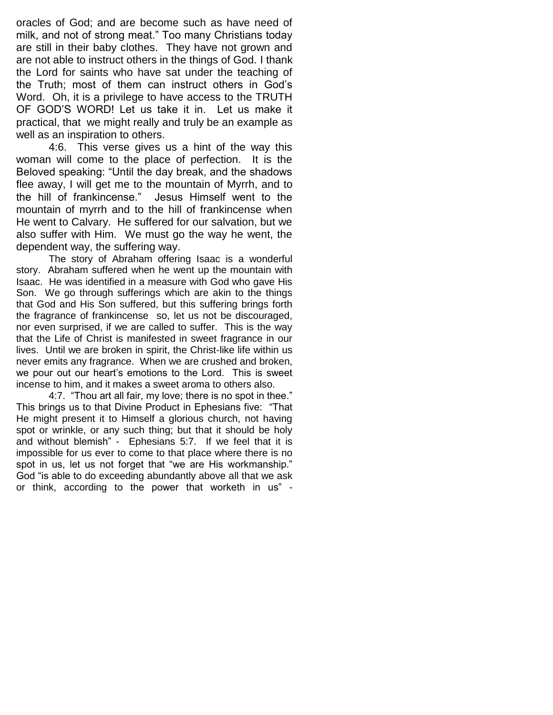oracles of God; and are become such as have need of milk, and not of strong meat." Too many Christians today are still in their baby clothes. They have not grown and are not able to instruct others in the things of God. I thank the Lord for saints who have sat under the teaching of the Truth; most of them can instruct others in God's Word. Oh, it is a privilege to have access to the TRUTH OF GOD'S WORD! Let us take it in. Let us make it practical, that we might really and truly be an example as well as an inspiration to others.

4:6. This verse gives us a hint of the way this woman will come to the place of perfection. It is the Beloved speaking: "Until the day break, and the shadows flee away, I will get me to the mountain of Myrrh, and to the hill of frankincense." Jesus Himself went to the mountain of myrrh and to the hill of frankincense when He went to Calvary. He suffered for our salvation, but we also suffer with Him. We must go the way he went, the dependent way, the suffering way.

The story of Abraham offering Isaac is a wonderful story. Abraham suffered when he went up the mountain with Isaac. He was identified in a measure with God who gave His Son. We go through sufferings which are akin to the things that God and His Son suffered, but this suffering brings forth the fragrance of frankincense so, let us not be discouraged, nor even surprised, if we are called to suffer. This is the way that the Life of Christ is manifested in sweet fragrance in our lives. Until we are broken in spirit, the Christ-like life within us never emits any fragrance. When we are crushed and broken, we pour out our heart's emotions to the Lord. This is sweet incense to him, and it makes a sweet aroma to others also.

4:7. "Thou art all fair, my love; there is no spot in thee." This brings us to that Divine Product in Ephesians five: "That He might present it to Himself a glorious church, not having spot or wrinkle, or any such thing; but that it should be holy and without blemish" - Ephesians 5:7. If we feel that it is impossible for us ever to come to that place where there is no spot in us, let us not forget that "we are His workmanship." God "is able to do exceeding abundantly above all that we ask or think, according to the power that worketh in us" -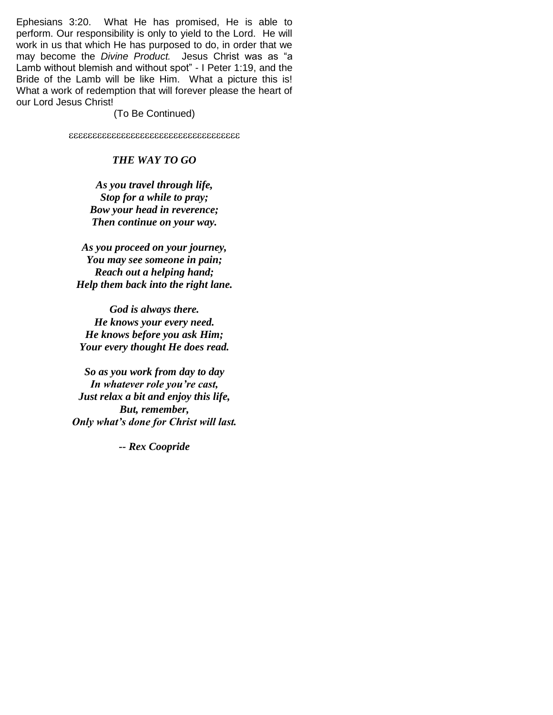Ephesians 3:20. What He has promised, He is able to perform. Our responsibility is only to yield to the Lord. He will work in us that which He has purposed to do, in order that we may become the *Divine Product.* Jesus Christ was as "a Lamb without blemish and without spot" - I Peter 1:19, and the Bride of the Lamb will be like Him. What a picture this is! What a work of redemption that will forever please the heart of our Lord Jesus Christ!

(To Be Continued)

#### *THE WAY TO GO*

*As you travel through life, Stop for a while to pray; Bow your head in reverence; Then continue on your way.*

*As you proceed on your journey, You may see someone in pain; Reach out a helping hand; Help them back into the right lane.*

*God is always there. He knows your every need. He knows before you ask Him; Your every thought He does read.*

*So as you work from day to day In whatever role you're cast, Just relax a bit and enjoy this life, But, remember, Only what's done for Christ will last.*

*-- Rex Coopride*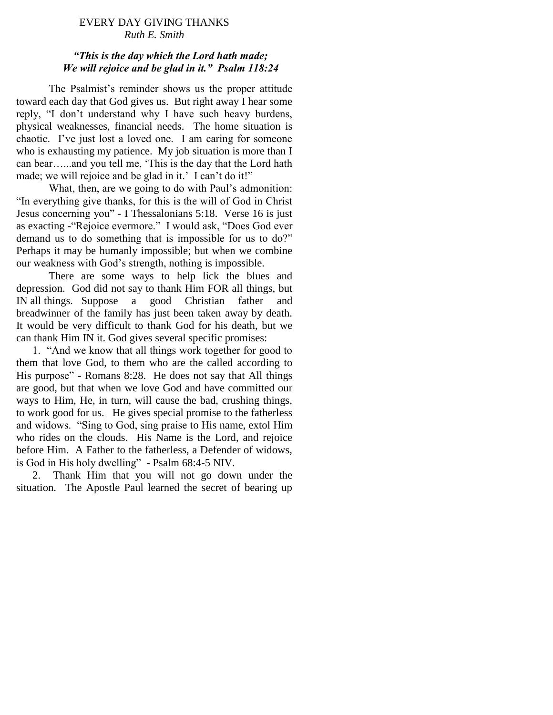# EVERY DAY GIVING THANKS *Ruth E. Smith*

# *"This is the day which the Lord hath made; We will rejoice and be glad in it." Psalm 118:24*

The Psalmist's reminder shows us the proper attitude toward each day that God gives us. But right away I hear some reply, "I don"t understand why I have such heavy burdens, physical weaknesses, financial needs. The home situation is chaotic. I"ve just lost a loved one. I am caring for someone who is exhausting my patience. My job situation is more than I can bear…...and you tell me, "This is the day that the Lord hath made; we will rejoice and be glad in it.' I can't do it!"

What, then, are we going to do with Paul's admonition: "In everything give thanks, for this is the will of God in Christ Jesus concerning you" - I Thessalonians 5:18. Verse 16 is just as exacting -"Rejoice evermore." I would ask, "Does God ever demand us to do something that is impossible for us to do?" Perhaps it may be humanly impossible; but when we combine our weakness with God"s strength, nothing is impossible.

There are some ways to help lick the blues and depression. God did not say to thank Him FOR all things, but IN all things. Suppose a good Christian father and breadwinner of the family has just been taken away by death. It would be very difficult to thank God for his death, but we can thank Him IN it. God gives several specific promises:

 1. "And we know that all things work together for good to them that love God, to them who are the called according to His purpose" - Romans 8:28. He does not say that All things are good, but that when we love God and have committed our ways to Him, He, in turn, will cause the bad, crushing things, to work good for us. He gives special promise to the fatherless and widows. "Sing to God, sing praise to His name, extol Him who rides on the clouds. His Name is the Lord, and rejoice before Him. A Father to the fatherless, a Defender of widows, is God in His holy dwelling" - Psalm 68:4-5 NIV.

 2. Thank Him that you will not go down under the situation. The Apostle Paul learned the secret of bearing up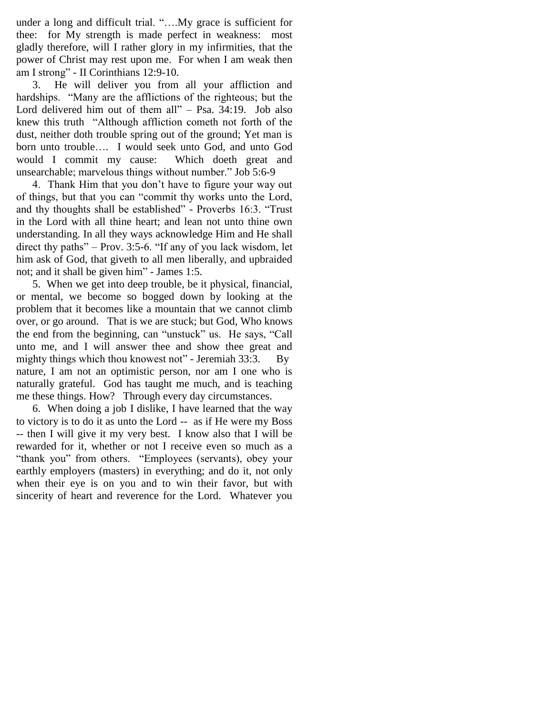under a long and difficult trial. "….My grace is sufficient for thee: for My strength is made perfect in weakness: most gladly therefore, will I rather glory in my infirmities, that the power of Christ may rest upon me. For when I am weak then am I strong" - II Corinthians 12:9-10.

 3. He will deliver you from all your affliction and hardships. "Many are the afflictions of the righteous; but the Lord delivered him out of them all" – Psa. 34:19. Job also knew this truth "Although affliction cometh not forth of the dust, neither doth trouble spring out of the ground; Yet man is born unto trouble…. I would seek unto God, and unto God would I commit my cause: Which doeth great and unsearchable; marvelous things without number." Job 5:6-9

 4. Thank Him that you don"t have to figure your way out of things, but that you can "commit thy works unto the Lord, and thy thoughts shall be established" - Proverbs 16:3. "Trust in the Lord with all thine heart; and lean not unto thine own understanding. In all they ways acknowledge Him and He shall direct thy paths" – Prov. 3:5-6. "If any of you lack wisdom, let him ask of God, that giveth to all men liberally, and upbraided not; and it shall be given him" - James 1:5.

 5. When we get into deep trouble, be it physical, financial, or mental, we become so bogged down by looking at the problem that it becomes like a mountain that we cannot climb over, or go around. That is we are stuck; but God, Who knows the end from the beginning, can "unstuck" us. He says, "Call unto me, and I will answer thee and show thee great and mighty things which thou knowest not" - Jeremiah 33:3. By nature, I am not an optimistic person, nor am I one who is naturally grateful. God has taught me much, and is teaching me these things. How? Through every day circumstances.

 6. When doing a job I dislike, I have learned that the way to victory is to do it as unto the Lord -- as if He were my Boss -- then I will give it my very best. I know also that I will be rewarded for it, whether or not I receive even so much as a "thank you" from others. "Employees (servants), obey your earthly employers (masters) in everything; and do it, not only when their eye is on you and to win their favor, but with sincerity of heart and reverence for the Lord. Whatever you